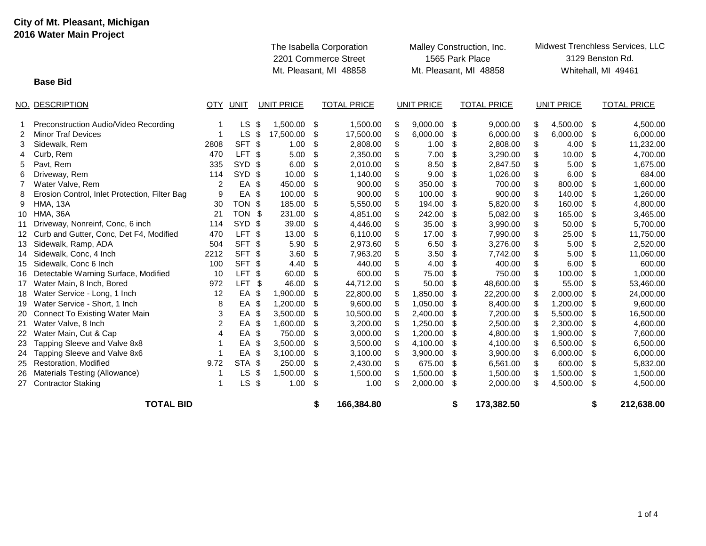## **City of Mt. Pleasant, Michigan 2016 Water Main Project**

|                 |                                               |      |                   |      | The Isabella Corporation<br>2201 Commerce Street<br>Mt. Pleasant, MI 48858 |    |                    |    |                   | Malley Construction, Inc.<br>1565 Park Place<br>Mt. Pleasant, MI 48858 | Midwest Trenchless Services, LLC<br>3129 Benston Rd.<br>Whitehall, MI 49461 |    |                   |    |                    |
|-----------------|-----------------------------------------------|------|-------------------|------|----------------------------------------------------------------------------|----|--------------------|----|-------------------|------------------------------------------------------------------------|-----------------------------------------------------------------------------|----|-------------------|----|--------------------|
|                 | <b>Base Bid</b>                               |      |                   |      |                                                                            |    |                    |    |                   |                                                                        |                                                                             |    |                   |    |                    |
|                 | NO. DESCRIPTION                               | QTY  | UNIT              |      | <b>UNIT PRICE</b>                                                          |    | <b>TOTAL PRICE</b> |    | <b>UNIT PRICE</b> |                                                                        | <b>TOTAL PRICE</b>                                                          |    | <b>UNIT PRICE</b> |    | <b>TOTAL PRICE</b> |
|                 | Preconstruction Audio/Video Recording         | 1    | LS.               | - \$ | 1,500.00                                                                   | \$ | 1,500.00           | \$ | 9,000.00          | \$                                                                     | 9,000.00                                                                    | S  | 4,500.00          | \$ | 4,500.00           |
| 2               | <b>Minor Traf Devices</b>                     | 1    | $LS$ \$           |      | 17,500.00                                                                  | \$ | 17,500.00          | \$ | 6,000.00          | \$                                                                     | 6,000.00                                                                    | \$ | 6,000.00          | \$ | 6,000.00           |
| 3               | Sidewalk, Rem                                 | 2808 | SFT <sub>\$</sub> |      | 1.00                                                                       | \$ | 2,808.00           | \$ | 1.00              | \$                                                                     | 2,808.00                                                                    | \$ | 4.00              | \$ | 11,232.00          |
| 4               | Curb, Rem                                     | 470  | LFT <sub>\$</sub> |      | 5.00                                                                       | \$ | 2,350.00           | \$ | 7.00              | \$                                                                     | 3,290.00                                                                    | \$ | 10.00             | \$ | 4,700.00           |
| 5               | Pavt, Rem                                     | 335  | SYD \$            |      | 6.00                                                                       | \$ | 2,010.00           | \$ | 8.50              | \$                                                                     | 2,847.50                                                                    | \$ | 5.00              | \$ | 1,675.00           |
| 6               | Driveway, Rem                                 | 114  | SYD \$            |      | 10.00                                                                      | \$ | 1,140.00           | \$ | 9.00              | \$                                                                     | 1,026.00                                                                    | \$ | 6.00              | \$ | 684.00             |
| 7               | Water Valve, Rem                              | 2    | EA \$             |      | 450.00                                                                     | \$ | 900.00             | \$ | 350.00            | \$                                                                     | 700.00                                                                      | \$ | 800.00            | \$ | 1,600.00           |
| 8               | Erosion Control, Inlet Protection, Filter Bag | 9    | EA \$             |      | 100.00                                                                     | \$ | 900.00             | \$ | 100.00            | \$                                                                     | 900.00                                                                      | \$ | 140.00            | \$ | 1,260.00           |
| 9               | <b>HMA, 13A</b>                               | 30   | TON \$            |      | 185.00                                                                     | \$ | 5,550.00           | \$ | 194.00            | \$                                                                     | 5,820.00                                                                    | \$ | 160.00            | \$ | 4,800.00           |
| 10              | <b>HMA, 36A</b>                               | 21   | TON \$            |      | 231.00                                                                     | \$ | 4.851.00           | \$ | 242.00            | \$                                                                     | 5,082.00                                                                    | \$ | 165.00            | \$ | 3,465.00           |
| 11              | Driveway, Nonreinf, Conc, 6 inch              | 114  | SYD <sub>\$</sub> |      | 39.00                                                                      | \$ | 4,446.00           | \$ | 35.00             | \$                                                                     | 3,990.00                                                                    | \$ | 50.00             | \$ | 5,700.00           |
| 12 <sup>7</sup> | Curb and Gutter, Conc, Det F4, Modified       | 470  | LFT <sub>\$</sub> |      | 13.00                                                                      | \$ | 6.110.00           | \$ | 17.00             | \$                                                                     | 7,990.00                                                                    | \$ | 25.00             | \$ | 11,750.00          |
| 13 <sup>°</sup> | Sidewalk, Ramp, ADA                           | 504  | SFT \$            |      | 5.90                                                                       | \$ | 2,973.60           | \$ | 6.50              | \$                                                                     | 3,276.00                                                                    | \$ | 5.00              | \$ | 2,520.00           |
| 14              | Sidewalk, Conc, 4 Inch                        | 2212 | SFT <sub>\$</sub> |      | 3.60                                                                       | \$ | 7,963.20           | \$ | 3.50              | \$                                                                     | 7,742.00                                                                    | \$ | 5.00              | \$ | 11,060.00          |
|                 | 15 Sidewalk, Conc 6 Inch                      | 100  | SFT <sub>\$</sub> |      | 4.40                                                                       | \$ | 440.00             | \$ | 4.00              | \$                                                                     | 400.00                                                                      |    | 6.00              | \$ | 600.00             |
|                 | 16 Detectable Warning Surface, Modified       | 10   | LFT \$            |      | 60.00                                                                      | \$ | 600.00             | \$ | 75.00             | \$                                                                     | 750.00                                                                      | \$ | 100.00            | \$ | 1,000.00           |
| 17              | Water Main, 8 Inch, Bored                     | 972  | LFT <sub>\$</sub> |      | 46.00                                                                      | \$ | 44,712.00          |    | 50.00             | \$                                                                     | 48,600.00                                                                   |    | 55.00             | \$ | 53,460.00          |
| 18              | Water Service - Long, 1 Inch                  | 12   | EA \$             |      | 1,900.00                                                                   | \$ | 22,800.00          |    | 1,850.00          | \$                                                                     | 22,200.00                                                                   |    | 2,000.00          | \$ | 24,000.00          |
| 19              | Water Service - Short, 1 Inch                 | 8    | EA \$             |      | 1,200.00                                                                   | \$ | 9,600.00           | \$ | 1,050.00          | S                                                                      | 8,400.00                                                                    | S  | 1,200.00          | \$ | 9,600.00           |
|                 | 20 Connect To Existing Water Main             | 3    | EA \$             |      | 3,500.00                                                                   | \$ | 10,500.00          | \$ | 2,400.00          | S                                                                      | 7,200.00                                                                    | \$ | 5,500.00          | \$ | 16,500.00          |
| 21              | Water Valve, 8 Inch                           | 2    | EA \$             |      | 1,600.00                                                                   | \$ | 3,200.00           | \$ | 1,250.00          | \$                                                                     | 2,500.00                                                                    | \$ | 2,300.00          | \$ | 4,600.00           |
|                 | 22 Water Main, Cut & Cap                      | 4    | EA \$             |      | 750.00                                                                     | \$ | 3,000.00           | \$ | 1,200.00          | \$                                                                     | 4,800.00                                                                    | \$ | 1,900.00          | \$ | 7,600.00           |
| 23              | Tapping Sleeve and Valve 8x8                  |      | EA \$             |      | 3,500.00                                                                   | \$ | 3,500.00           | \$ | 4,100.00          | \$                                                                     | 4,100.00                                                                    | \$ | 6,500.00          | \$ | 6,500.00           |
| 24              | Tapping Sleeve and Valve 8x6                  |      | EA \$             |      | 3,100.00                                                                   | \$ | 3,100.00           | \$ | 3,900.00          | \$                                                                     | 3,900.00                                                                    | \$ | 6,000.00          | \$ | 6,000.00           |
| 25              | <b>Restoration, Modified</b>                  | 9.72 | STA \$            |      | 250.00                                                                     | \$ | 2,430.00           | \$ | 675.00            | \$                                                                     | 6,561.00                                                                    | \$ | 600.00            | \$ | 5,832.00           |
| 26              | Materials Testing (Allowance)                 | 1    | $LS$ \$           |      | 1,500.00                                                                   | \$ | 1,500.00           | \$ | 1,500.00          | \$                                                                     | 1,500.00                                                                    | \$ | 1,500.00          | \$ | 1,500.00           |
|                 | 27 Contractor Staking                         | 1    | $LS$ \$           |      | 1.00                                                                       | \$ | 1.00               | \$ | 2,000.00          | \$                                                                     | 2,000.00                                                                    | \$ | 4,500.00          | \$ | 4,500.00           |
|                 | <b>TOTAL BID</b>                              |      |                   |      |                                                                            | \$ | 166,384.80         |    |                   | \$                                                                     | 173,382.50                                                                  |    |                   | \$ | 212,638.00         |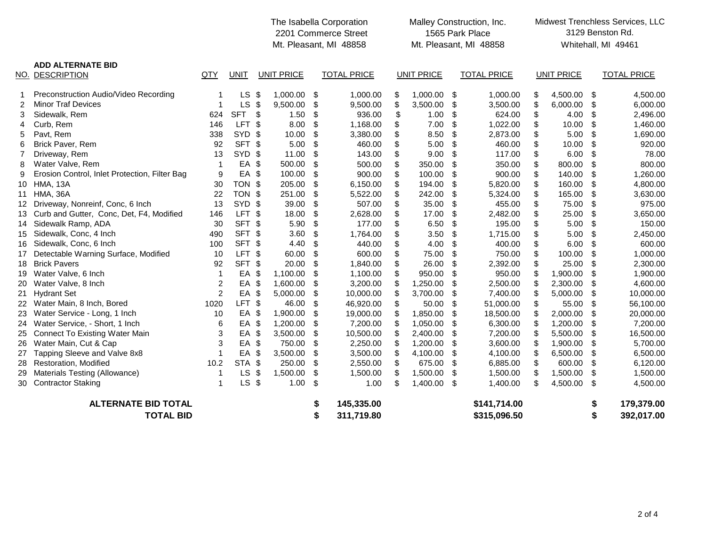|                            |                                               |                |                   |     |                   |               | The Isabella Corporation<br>2201 Commerce Street<br>Mt. Pleasant, MI 48858 | Malley Construction, Inc.<br>1565 Park Place<br>Mt. Pleasant, MI 48858 |                   |    |                    |    | Midwest Trenchless Services, LLC<br>3129 Benston Rd.<br>Whitehall, MI 49461 |    |                    |
|----------------------------|-----------------------------------------------|----------------|-------------------|-----|-------------------|---------------|----------------------------------------------------------------------------|------------------------------------------------------------------------|-------------------|----|--------------------|----|-----------------------------------------------------------------------------|----|--------------------|
|                            | <b>ADD ALTERNATE BID</b><br>NO. DESCRIPTION   | QTY            | <b>UNIT</b>       |     | <b>UNIT PRICE</b> |               | <b>TOTAL PRICE</b>                                                         |                                                                        | <b>UNIT PRICE</b> |    | <b>TOTAL PRICE</b> |    | <b>UNIT PRICE</b>                                                           |    | <b>TOTAL PRICE</b> |
|                            | Preconstruction Audio/Video Recording         |                | <b>LS</b>         | \$  | 1,000.00          | -\$           | 1,000.00                                                                   | \$                                                                     | 1,000.00          | \$ | 1,000.00           | S  | 4,500.00                                                                    | \$ | 4,500.00           |
| $\overline{2}$             | <b>Minor Traf Devices</b>                     | -1             | LS                | \$  | 9,500.00          | \$            | 9,500.00                                                                   | \$                                                                     | 3,500.00          | \$ | 3,500.00           | \$ | 6,000.00                                                                    | \$ | 6,000.00           |
| 3                          | Sidewalk, Rem                                 | 624            | <b>SFT</b>        | \$  | 1.50              | \$            | 936.00                                                                     | \$                                                                     | 1.00              | \$ | 624.00             | \$ | 4.00                                                                        | \$ | 2,496.00           |
| 4                          | Curb, Rem                                     | 146            | LFT <sub>\$</sub> |     | 8.00              | \$            | 1,168.00                                                                   | \$                                                                     | 7.00              | \$ | 1,022.00           | \$ | 10.00                                                                       | \$ | 1,460.00           |
| 5                          | Pavt, Rem                                     | 338            | SYD \$            |     | 10.00             | \$            | 3,380.00                                                                   | \$                                                                     | 8.50              | \$ | 2,873.00           | \$ | 5.00                                                                        | \$ | 1,690.00           |
| 6                          | Brick Paver, Rem                              | 92             | SFT \$            |     | 5.00              | \$            | 460.00                                                                     | \$                                                                     | 5.00              | \$ | 460.00             | \$ | 10.00                                                                       | \$ | 920.00             |
| $\overline{7}$             | Driveway, Rem                                 | 13             | SYD \$            |     | 11.00             | \$            | 143.00                                                                     | \$                                                                     | 9.00              | \$ | 117.00             | \$ | 6.00                                                                        | \$ | 78.00              |
| 8                          | Water Valve, Rem                              | $\mathbf 1$    | EA \$             |     | 500.00            | \$            | 500.00                                                                     | \$                                                                     | 350.00            | \$ | 350.00             | \$ | 800.00                                                                      | \$ | 800.00             |
| 9                          | Erosion Control, Inlet Protection, Filter Bag | 9              | EA \$             |     | 100.00            | \$            | 900.00                                                                     | \$                                                                     | 100.00            | \$ | 900.00             | \$ | 140.00                                                                      | \$ | 1,260.00           |
| 10                         | <b>HMA, 13A</b>                               | 30             | TON \$            |     | 205.00            | \$            | 6,150.00                                                                   | \$                                                                     | 194.00            | \$ | 5,820.00           | \$ | 160.00                                                                      | \$ | 4,800.00           |
| 11                         | <b>HMA, 36A</b>                               | 22             | TON \$            |     | 251.00            | \$            | 5,522.00                                                                   | \$                                                                     | 242.00            | \$ | 5,324.00           | \$ | 165.00                                                                      | \$ | 3,630.00           |
| 12                         | Driveway, Nonreinf, Conc, 6 Inch              | 13             | SYD \$            |     | 39.00             | $\frac{1}{2}$ | 507.00                                                                     | \$                                                                     | 35.00             | \$ | 455.00             | \$ | 75.00                                                                       | \$ | 975.00             |
| 13                         | Curb and Gutter, Conc, Det, F4, Modified      | 146            | LFT \$            |     | 18.00             | \$            | 2,628.00                                                                   | \$                                                                     | 17.00             | \$ | 2,482.00           | \$ | 25.00                                                                       | \$ | 3,650.00           |
| 14                         | Sidewalk Ramp, ADA                            | 30             | SFT \$            |     | 5.90              | \$            | 177.00                                                                     | \$                                                                     | 6.50              | \$ | 195.00             | \$ | 5.00                                                                        | \$ | 150.00             |
| 15                         | Sidewalk, Conc, 4 Inch                        | 490            | SFT \$            |     | 3.60              | \$            | 1,764.00                                                                   | \$                                                                     | 3.50              | \$ | 1,715.00           | \$ | 5.00                                                                        | \$ | 2,450.00           |
| 16                         | Sidewalk, Conc, 6 Inch                        | 100            | SFT \$            |     | 4.40              | \$            | 440.00                                                                     | \$                                                                     | 4.00              | \$ | 400.00             | \$ | 6.00                                                                        | \$ | 600.00             |
| 17                         | Detectable Warning Surface, Modified          | 10             | LFT <sub>\$</sub> |     | 60.00             | \$            | 600.00                                                                     | \$                                                                     | 75.00             | \$ | 750.00             | \$ | 100.00                                                                      | \$ | 1,000.00           |
| 18                         | <b>Brick Pavers</b>                           | 92             | SFT \$            |     | 20.00             | \$            | 1,840.00                                                                   | \$                                                                     | 26.00             | \$ | 2,392.00           | \$ | 25.00                                                                       | \$ | 2,300.00           |
| 19                         | Water Valve, 6 Inch                           | $\mathbf{1}$   | EA                | \$  | 1,100.00          | \$            | 1,100.00                                                                   | \$                                                                     | 950.00            | \$ | 950.00             | \$ | 1,900.00                                                                    | \$ | 1,900.00           |
| 20                         | Water Valve, 8 Inch                           | $\overline{c}$ | EA                | -\$ | 1,600.00          | \$            | 3,200.00                                                                   | \$                                                                     | 1,250.00          | \$ | 2,500.00           | \$ | 2,300.00                                                                    | \$ | 4,600.00           |
| 21                         | <b>Hydrant Set</b>                            | $\overline{2}$ | EA                | \$  | 5,000.00          | \$            | 10,000.00                                                                  | \$                                                                     | 3,700.00          | \$ | 7,400.00           | \$ | 5,000.00                                                                    | \$ | 10,000.00          |
|                            | 22 Water Main, 8 Inch, Bored                  | 1020           | LFT <sub>\$</sub> |     | 46.00             | \$            | 46,920.00                                                                  | \$                                                                     | 50.00             | \$ | 51,000.00          | \$ | 55.00                                                                       | \$ | 56,100.00          |
| 23                         | Water Service - Long, 1 Inch                  | 10             | EA \$             |     | 1,900.00          | \$            | 19,000.00                                                                  | \$                                                                     | 1,850.00          | \$ | 18,500.00          | \$ | 2,000.00                                                                    | \$ | 20,000.00          |
| 24                         | Water Service, - Short, 1 Inch                | 6              | EA                | \$  | 1,200.00          | \$            | 7,200.00                                                                   | \$                                                                     | 1,050.00          | \$ | 6,300.00           | \$ | 1,200.00                                                                    | \$ | 7,200.00           |
| 25                         | <b>Connect To Existing Water Main</b>         | 3              | EA                | \$  | 3,500.00          | \$            | 10,500.00                                                                  | \$                                                                     | 2,400.00          | \$ | 7,200.00           | \$ | 5,500.00                                                                    | \$ | 16,500.00          |
| 26                         | Water Main, Cut & Cap                         | 3              | EA \$             |     | 750.00            | \$            | 2,250.00                                                                   | \$                                                                     | 1,200.00          | \$ | 3,600.00           | \$ | 1,900.00                                                                    | \$ | 5,700.00           |
| 27                         | Tapping Sleeve and Valve 8x8                  |                | EA                | \$  | 3,500.00          | -\$           | 3,500.00                                                                   | \$                                                                     | 4,100.00          | \$ | 4,100.00           | \$ | 6,500.00                                                                    | \$ | 6,500.00           |
| 28                         | Restoration, Modified                         | 10.2           | STA \$            |     | 250.00            | \$            | 2,550.00                                                                   | \$                                                                     | 675.00            | \$ | 6,885.00           | \$ | 600.00                                                                      | \$ | 6,120.00           |
|                            | Materials Testing (Allowance)                 | -1             | <b>LS</b>         | \$  | 1,500.00          | -\$           | 1,500.00                                                                   | \$                                                                     | 1,500.00          | \$ | 1,500.00           | \$ | 1,500.00                                                                    | \$ | 1,500.00           |
| 30                         | <b>Contractor Staking</b>                     | $\mathbf 1$    | $LS$ \$           |     | 1.00              | -\$           | 1.00                                                                       | \$                                                                     | 1,400.00 \$       |    | 1,400.00           | \$ | 4,500.00                                                                    | \$ | 4,500.00           |
| <b>ALTERNATE BID TOTAL</b> |                                               |                |                   |     |                   |               | 145,335.00                                                                 |                                                                        |                   |    | \$141,714.00       |    |                                                                             | \$ | 179,379.00         |
|                            | <b>TOTAL BID</b>                              |                |                   |     |                   | \$            | 311,719.80                                                                 |                                                                        |                   |    | \$315,096.50       |    |                                                                             | \$ | 392,017.00         |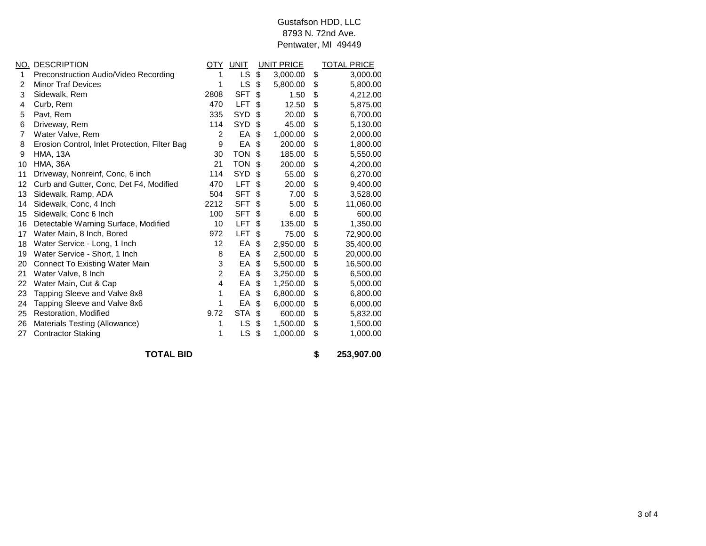## Pentwater, MI 49449 Gustafson HDD, LLC 8793 N. 72nd Ave.

|    | NO. DESCRIPTION                               | QTY              | UNIT       | UNIT PRICE     | <b>TOTAL PRICE</b> |
|----|-----------------------------------------------|------------------|------------|----------------|--------------------|
| 1  | Preconstruction Audio/Video Recording         | 1                | LS         | \$<br>3,000.00 | \$<br>3,000.00     |
| 2  | <b>Minor Traf Devices</b>                     | 1                | LS         | \$<br>5,800.00 | \$<br>5,800.00     |
| 3  | Sidewalk, Rem                                 | 2808             | <b>SFT</b> | \$<br>1.50     | \$<br>4,212.00     |
| 4  | Curb, Rem                                     | 470              | <b>LFT</b> | \$<br>12.50    | \$<br>5,875.00     |
| 5  | Pavt, Rem                                     | 335              | <b>SYD</b> | \$<br>20.00    | \$<br>6,700.00     |
| 6  | Driveway, Rem                                 | 114              | <b>SYD</b> | \$<br>45.00    | \$<br>5,130.00     |
| 7  | Water Valve, Rem                              | $\overline{2}$   | EA         | \$<br>1,000.00 | \$<br>2,000.00     |
| 8  | Erosion Control, Inlet Protection, Filter Bag | 9                | EA         | \$<br>200.00   | \$<br>1,800.00     |
| 9  | <b>HMA, 13A</b>                               | 30               | <b>TON</b> | \$<br>185.00   | \$<br>5,550.00     |
| 10 | <b>HMA, 36A</b>                               | 21               | <b>TON</b> | \$<br>200.00   | \$<br>4,200.00     |
| 11 | Driveway, Nonreinf, Conc, 6 inch              | 114              | <b>SYD</b> | \$<br>55.00    | \$<br>6,270.00     |
| 12 | Curb and Gutter, Conc, Det F4, Modified       | 470              | <b>LFT</b> | \$<br>20.00    | \$<br>9,400.00     |
| 13 | Sidewalk, Ramp, ADA                           | 504              | <b>SFT</b> | \$<br>7.00     | \$<br>3,528.00     |
| 14 | Sidewalk, Conc, 4 Inch                        | 2212             | <b>SFT</b> | \$<br>5.00     | \$<br>11,060.00    |
| 15 | Sidewalk, Conc 6 Inch                         | 100              | <b>SFT</b> | \$<br>6.00     | \$<br>600.00       |
| 16 | Detectable Warning Surface, Modified          | 10               | <b>LFT</b> | \$<br>135.00   | \$<br>1,350.00     |
| 17 | Water Main, 8 Inch, Bored                     | 972              | <b>LFT</b> | \$<br>75.00    | \$<br>72,900.00    |
| 18 | Water Service - Long, 1 Inch                  | 12               | EA         | \$<br>2,950.00 | \$<br>35,400.00    |
| 19 | Water Service - Short, 1 Inch                 | 8                | EA         | \$<br>2,500.00 | \$<br>20,000.00    |
| 20 | Connect To Existing Water Main                | 3                | EA         | \$<br>5,500.00 | \$<br>16,500.00    |
| 21 | Water Valve, 8 Inch                           | 2                | EA         | \$<br>3,250.00 | \$<br>6,500.00     |
| 22 | Water Main, Cut & Cap                         | 4                | EA         | \$<br>1,250.00 | \$<br>5,000.00     |
| 23 | Tapping Sleeve and Valve 8x8                  | 1                | EA         | \$<br>6,800.00 | \$<br>6,800.00     |
| 24 | Tapping Sleeve and Valve 8x6                  | 1                | EA         | \$<br>6,000.00 | \$<br>6,000.00     |
| 25 | Restoration, Modified                         | 9.72             | <b>STA</b> | \$<br>600.00   | \$<br>5,832.00     |
| 26 | Materials Testing (Allowance)                 | 1                | LS         | \$<br>1,500.00 | \$<br>1,500.00     |
| 27 | <b>Contractor Staking</b>                     | 1                | LS         | \$<br>1,000.00 | \$<br>1,000.00     |
|    | <b>TOTAL BID</b>                              | \$<br>253,907.00 |            |                |                    |

3 of 4